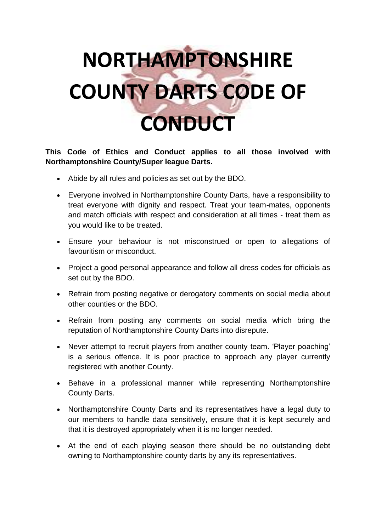## **NORTHAMPTONSHIRE COUNTY DARTS CODE OF CONDUCT**

## **This Code of Ethics and Conduct applies to all those involved with Northamptonshire County/Super league Darts.**

- Abide by all rules and policies as set out by the BDO.
- Everyone involved in Northamptonshire County Darts, have a responsibility to treat everyone with dignity and respect. Treat your team-mates, opponents and match officials with respect and consideration at all times - treat them as you would like to be treated.
- Ensure your behaviour is not misconstrued or open to allegations of favouritism or misconduct.
- Project a good personal appearance and follow all dress codes for officials as set out by the BDO.
- Refrain from posting negative or derogatory comments on social media about other counties or the BDO.
- Refrain from posting any comments on social media which bring the reputation of Northamptonshire County Darts into disrepute.
- Never attempt to recruit players from another county team. 'Player poaching' is a serious offence. It is poor practice to approach any player currently registered with another County.
- Behave in a professional manner while representing Northamptonshire County Darts.
- Northamptonshire County Darts and its representatives have a legal duty to our members to handle data sensitively, ensure that it is kept securely and that it is destroyed appropriately when it is no longer needed.
- At the end of each playing season there should be no outstanding debt owning to Northamptonshire county darts by any its representatives.